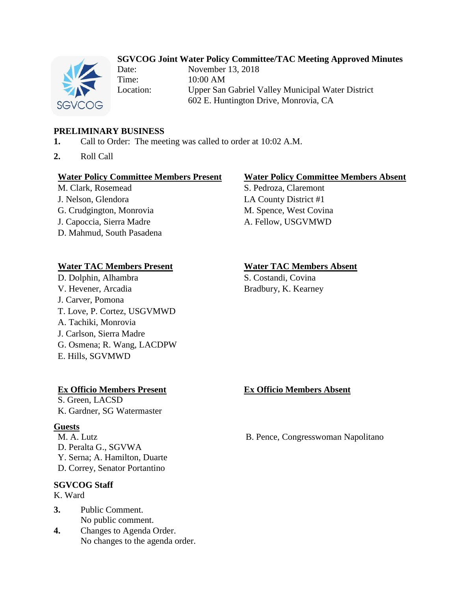# **SGVCOG Joint Water Policy Committee/TAC Meeting Approved Minutes**



Date: November 13, 2018 Time: 10:00 AM Location: Upper San Gabriel Valley Municipal Water District 602 E. Huntington Drive, Monrovia, CA

### **PRELIMINARY BUSINESS**

- **1.** Call to Order: The meeting was called to order at 10:02 A.M.
- **2.** Roll Call

#### **Water Policy Committee Members Present Water Policy Committee Members Absent**

M. Clark, Rosemead S. Pedroza, Claremont J. Nelson, Glendora LA County District #1 G. Crudgington, Monrovia M. Spence, West Covina J. Capoccia, Sierra Madre A. Fellow, USGVMWD D. Mahmud, South Pasadena

### **Water TAC Members Present Water TAC Members Absent**

D. Dolphin, Alhambra S. Costandi, Covina V. Hevener, Arcadia Bradbury, K. Kearney J. Carver, Pomona T. Love, P. Cortez, USGVMWD A. Tachiki, Monrovia J. Carlson, Sierra Madre G. Osmena; R. Wang, LACDPW E. Hills, SGVMWD

### **Ex Officio Members Present Ex Officio Members Absent**

S. Green, LACSD K. Gardner, SG Watermaster

#### **Guests**

D. Peralta G., SGVWA Y. Serna; A. Hamilton, Duarte D. Correy, Senator Portantino

### **SGVCOG Staff**

- K. Ward
- **3.** Public Comment. No public comment.
- **4.** Changes to Agenda Order. No changes to the agenda order.

M. A. Lutz B. Pence, Congresswoman Napolitano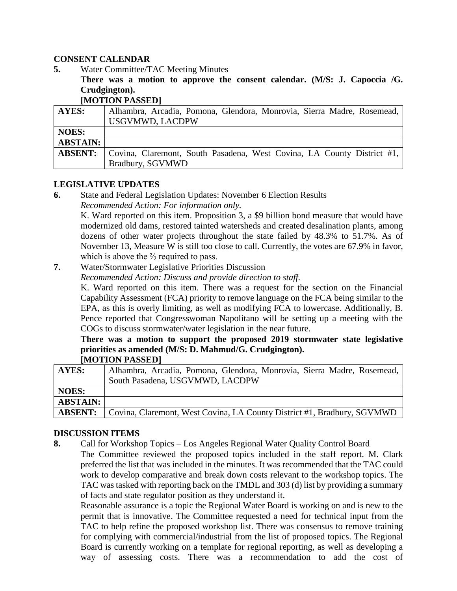### **CONSENT CALENDAR**

- **5.** Water Committee/TAC Meeting Minutes
	- **There was a motion to approve the consent calendar. (M/S: J. Capoccia /G. Crudgington).**

**[MOTION PASSED]**

| AYES:           | Alhambra, Arcadia, Pomona, Glendora, Monrovia, Sierra Madre, Rosemead, |
|-----------------|------------------------------------------------------------------------|
|                 | <b>USGVMWD, LACDPW</b>                                                 |
| <b>NOES:</b>    |                                                                        |
| <b>ABSTAIN:</b> |                                                                        |
| <b>ABSENT:</b>  | Covina, Claremont, South Pasadena, West Covina, LA County District #1, |
|                 | Bradbury, SGVMWD                                                       |

### **LEGISLATIVE UPDATES**

**6.** State and Federal Legislation Updates: November 6 Election Results *Recommended Action: For information only.*

K. Ward reported on this item. Proposition 3, a \$9 billion bond measure that would have modernized old dams, restored tainted watersheds and created desalination plants, among dozens of other water projects throughout the state failed by 48.3% to 51.7%. As of November 13, Measure W is still too close to call. Currently, the votes are 67.9% in favor, which is above the <sup>2</sup>/<sub>3</sub> required to pass.

**7.** Water/Stormwater Legislative Priorities Discussion

*Recommended Action: Discuss and provide direction to staff.*

K. Ward reported on this item. There was a request for the section on the Financial Capability Assessment (FCA) priority to remove language on the FCA being similar to the EPA, as this is overly limiting, as well as modifying FCA to lowercase. Additionally, B. Pence reported that Congresswoman Napolitano will be setting up a meeting with the COGs to discuss stormwater/water legislation in the near future.

**There was a motion to support the proposed 2019 stormwater state legislative priorities as amended (M/S: D. Mahmud/G. Crudgington). [MOTION PASSED]**

| <b>HULLIUN I ADDLIUI</b> |                                                                         |
|--------------------------|-------------------------------------------------------------------------|
| <b>AYES:</b>             | Alhambra, Arcadia, Pomona, Glendora, Monrovia, Sierra Madre, Rosemead,  |
|                          | South Pasadena, USGVMWD, LACDPW                                         |
| <b>NOES:</b>             |                                                                         |
| <b>ABSTAIN:</b>          |                                                                         |
| <b>ABSENT:</b>           | Covina, Claremont, West Covina, LA County District #1, Bradbury, SGVMWD |

# **DISCUSSION ITEMS**

**8.** Call for Workshop Topics – Los Angeles Regional Water Quality Control Board

The Committee reviewed the proposed topics included in the staff report. M. Clark preferred the list that was included in the minutes. It was recommended that the TAC could work to develop comparative and break down costs relevant to the workshop topics. The TAC was tasked with reporting back on the TMDL and 303 (d) list by providing a summary of facts and state regulator position as they understand it.

Reasonable assurance is a topic the Regional Water Board is working on and is new to the permit that is innovative. The Committee requested a need for technical input from the TAC to help refine the proposed workshop list. There was consensus to remove training for complying with commercial/industrial from the list of proposed topics. The Regional Board is currently working on a template for regional reporting, as well as developing a way of assessing costs. There was a recommendation to add the cost of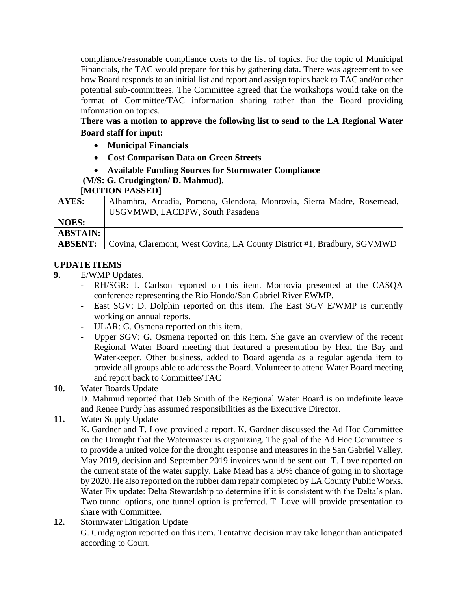compliance/reasonable compliance costs to the list of topics. For the topic of Municipal Financials, the TAC would prepare for this by gathering data. There was agreement to see how Board responds to an initial list and report and assign topics back to TAC and/or other potential sub-committees. The Committee agreed that the workshops would take on the format of Committee/TAC information sharing rather than the Board providing information on topics.

**There was a motion to approve the following list to send to the LA Regional Water Board staff for input:**

- **Municipal Financials**
- **Cost Comparison Data on Green Streets**
- **Available Funding Sources for Stormwater Compliance**
- **(M/S: G. Crudgington/ D. Mahmud).**

# **[MOTION PASSED]**

| <b>AYES:</b>    | Alhambra, Arcadia, Pomona, Glendora, Monrovia, Sierra Madre, Rosemead,<br>USGVMWD, LACDPW, South Pasadena |
|-----------------|-----------------------------------------------------------------------------------------------------------|
|                 |                                                                                                           |
| <b>NOES:</b>    |                                                                                                           |
| <b>ABSTAIN:</b> |                                                                                                           |
| <b>ABSENT:</b>  | Covina, Claremont, West Covina, LA County District #1, Bradbury, SGVMWD                                   |

# **UPDATE ITEMS**

- **9.** E/WMP Updates.
	- RH/SGR: J. Carlson reported on this item. Monrovia presented at the CASQA conference representing the Rio Hondo/San Gabriel River EWMP.
	- East SGV: D. Dolphin reported on this item. The East SGV E/WMP is currently working on annual reports.
	- ULAR: G. Osmena reported on this item.
	- Upper SGV: G. Osmena reported on this item. She gave an overview of the recent Regional Water Board meeting that featured a presentation by Heal the Bay and Waterkeeper. Other business, added to Board agenda as a regular agenda item to provide all groups able to address the Board. Volunteer to attend Water Board meeting and report back to Committee/TAC
- **10.** Water Boards Update

D. Mahmud reported that Deb Smith of the Regional Water Board is on indefinite leave and Renee Purdy has assumed responsibilities as the Executive Director.

**11.** Water Supply Update

K. Gardner and T. Love provided a report. K. Gardner discussed the Ad Hoc Committee on the Drought that the Watermaster is organizing. The goal of the Ad Hoc Committee is to provide a united voice for the drought response and measures in the San Gabriel Valley. May 2019, decision and September 2019 invoices would be sent out. T. Love reported on the current state of the water supply. Lake Mead has a 50% chance of going in to shortage by 2020. He also reported on the rubber dam repair completed by LA County Public Works. Water Fix update: Delta Stewardship to determine if it is consistent with the Delta's plan. Two tunnel options, one tunnel option is preferred. T. Love will provide presentation to share with Committee.

**12.** Stormwater Litigation Update G. Crudgington reported on this item. Tentative decision may take longer than anticipated according to Court.